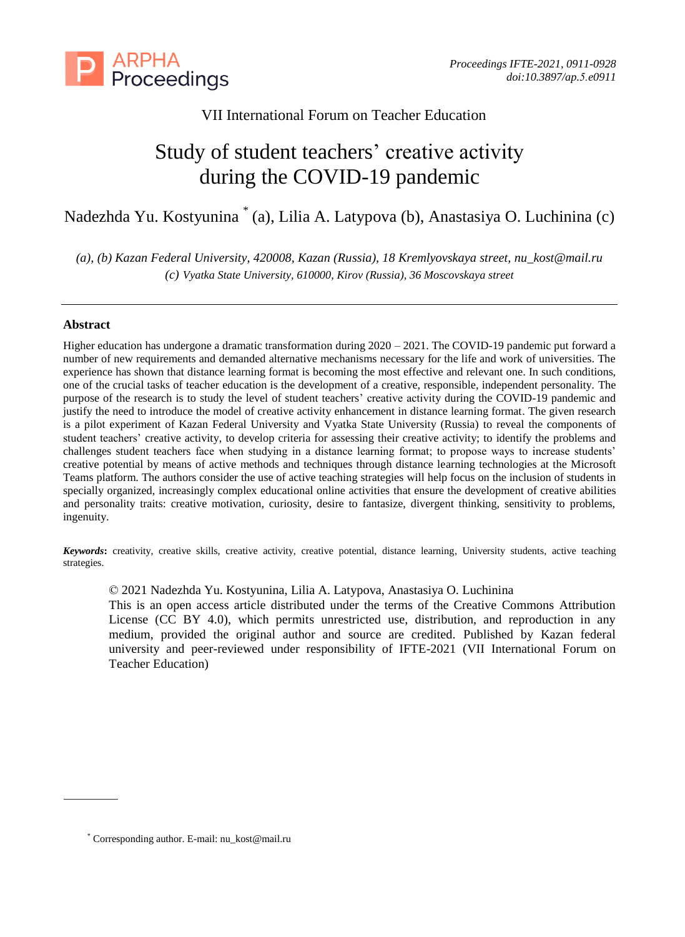

### VII International Forum on Teacher Education

# Study of student teachers' creative activity during the COVID-19 pandemic

## Nadezhda Yu. Kostyunina \* (a), Lilia A. Latypova (b), Anastasiya O. Luchinina (c)

*(a), (b) Kazan Federal University, 420008, Kazan (Russia), 18 Kremlyovskaya street, nu\_kost@mail.ru (c) Vyatka State University, 610000, Kirov (Russia), 36 Moscovskaya street*

#### **Abstract**

Higher education has undergone a dramatic transformation during 2020 – 2021. The COVID-19 pandemic put forward a number of new requirements and demanded alternative mechanisms necessary for the life and work of universities. The experience has shown that distance learning format is becoming the most effective and relevant one. In such conditions, one of the crucial tasks of teacher education is the development of a creative, responsible, independent personality. The purpose of the research is to study the level of student teachers' creative activity during the COVID-19 pandemic and justify the need to introduce the model of creative activity enhancement in distance learning format. The given research is a pilot experiment of Kazan Federal University and Vyatka State University (Russia) to reveal the components of student teachers' creative activity, to develop criteria for assessing their creative activity; to identify the problems and challenges student teachers face when studying in a distance learning format; to propose ways to increase students' creative potential by means of active methods and techniques through distance learning technologies at the Microsoft Teams platform. The authors consider the use of active teaching strategies will help focus on the inclusion of students in specially organized, increasingly complex educational online activities that ensure the development of creative abilities and personality traits: creative motivation, curiosity, desire to fantasize, divergent thinking, sensitivity to problems, ingenuity.

*Keywords***:** creativity, creative skills, creative activity, creative potential, distance learning, University students, active teaching strategies.

© 2021 Nadezhda Yu. Kostyunina, Lilia A. Latypova, Anastasiya O. Luchinina

This is an open access article distributed under the terms of the Creative Commons Attribution License (CC BY 4.0), which permits unrestricted use, distribution, and reproduction in any medium, provided the original author and source are credited. Published by Kazan federal university and peer-reviewed under responsibility of IFTE-2021 (VII International Forum on Teacher Education)

<sup>\*</sup> Corresponding author. E-mail: nu\_kost@mail.ru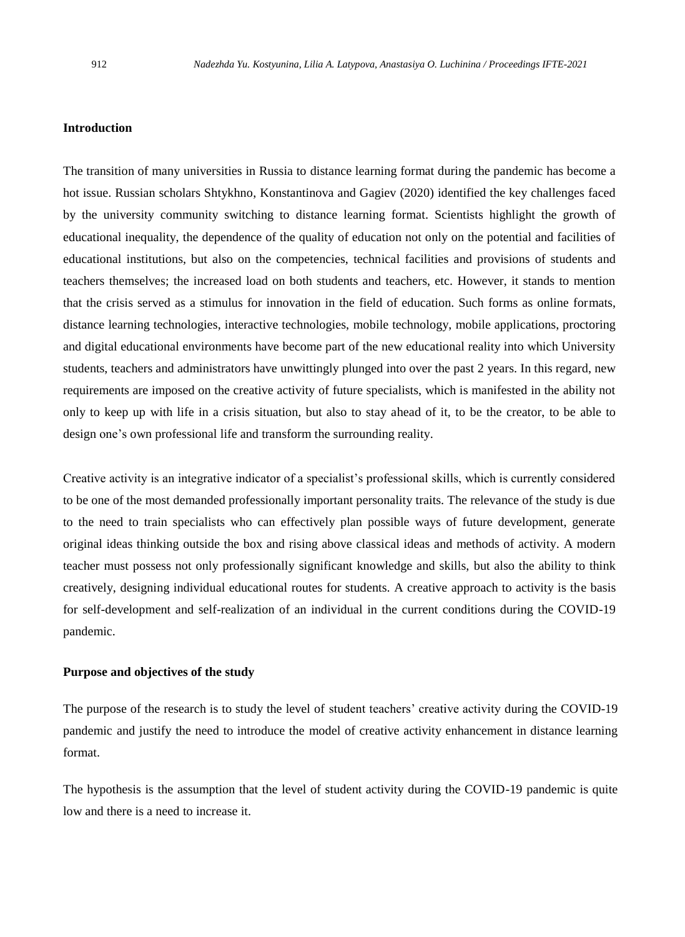#### **Introduction**

The transition of many universities in Russia to distance learning format during the pandemic has become a hot issue. Russian scholars Shtykhno, Konstantinova and Gagiev (2020) identified the key challenges faced by the university community switching to distance learning format. Scientists highlight the growth of educational inequality, the dependence of the quality of education not only on the potential and facilities of educational institutions, but also on the competencies, technical facilities and provisions of students and teachers themselves; the increased load on both students and teachers, etc. However, it stands to mention that the crisis served as a stimulus for innovation in the field of education. Such forms as online formats, distance learning technologies, interactive technologies, mobile technology, mobile applications, proctoring and digital educational environments have become part of the new educational reality into which University students, teachers and administrators have unwittingly plunged into over the past 2 years. In this regard, new requirements are imposed on the creative activity of future specialists, which is manifested in the ability not only to keep up with life in a crisis situation, but also to stay ahead of it, to be the creator, to be able to design one's own professional life and transform the surrounding reality.

Creative activity is an integrative indicator of a specialist's professional skills, which is currently considered to be one of the most demanded professionally important personality traits. The relevance of the study is due to the need to train specialists who can effectively plan possible ways of future development, generate original ideas thinking outside the box and rising above classical ideas and methods of activity. A modern teacher must possess not only professionally significant knowledge and skills, but also the ability to think creatively, designing individual educational routes for students. A creative approach to activity is the basis for self-development and self-realization of an individual in the current conditions during the COVID-19 pandemic.

#### **Purpose and objectives of the study**

The purpose of the research is to study the level of student teachers' creative activity during the COVID-19 pandemic and justify the need to introduce the model of creative activity enhancement in distance learning format.

The hypothesis is the assumption that the level of student activity during the COVID-19 pandemic is quite low and there is a need to increase it.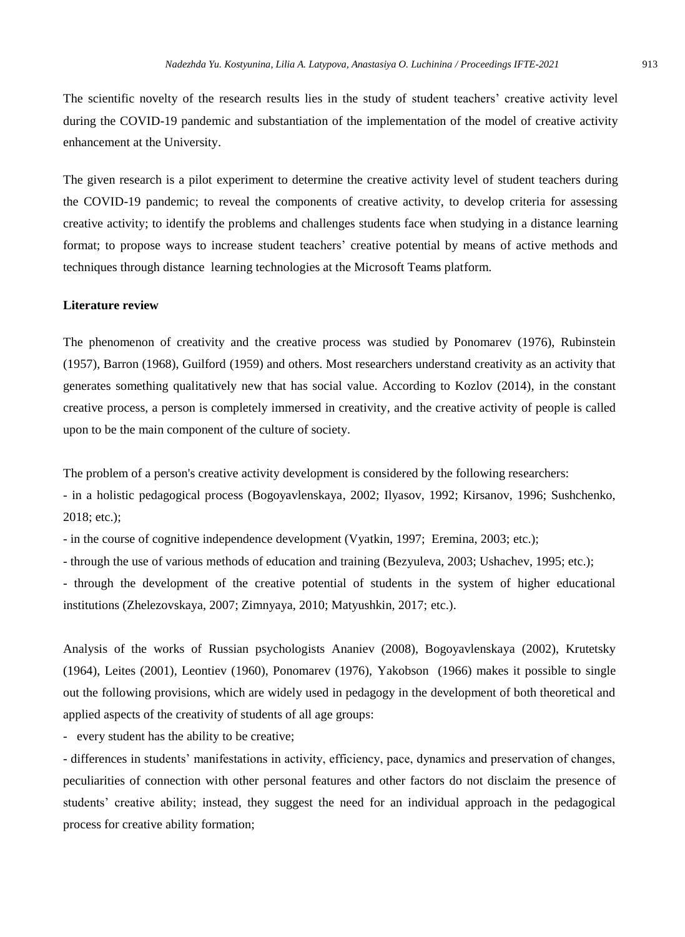The scientific novelty of the research results lies in the study of student teachers' creative activity level during the COVID-19 pandemic and substantiation of the implementation of the model of creative activity enhancement at the University.

The given research is a pilot experiment to determine the creative activity level of student teachers during the COVID-19 pandemic; to reveal the components of creative activity, to develop criteria for assessing creative activity; to identify the problems and challenges students face when studying in a distance learning format; to propose ways to increase student teachers' creative potential by means of active methods and techniques through distance learning technologies at the Microsoft Teams platform.

#### **Literature review**

The phenomenon of creativity and the creative process was studied by Ponomarev (1976), Rubinstein (1957), Barron (1968), Guilford (1959) and others. Most researchers understand creativity as an activity that generates something qualitatively new that has social value. According to Kozlov (2014), in the constant creative process, a person is completely immersed in creativity, and the creative activity of people is called upon to be the main component of the culture of society.

The problem of a person's creative activity development is considered by the following researchers:

- in a holistic pedagogical process (Bogoyavlenskaya, 2002; Ilyasov, 1992; Kirsanov, 1996; Sushchenko, 2018; etc.);

- in the course of cognitive independence development (Vyatkin, 1997; Eremina, 2003; etc.);

- through the use of various methods of education and training (Bezyuleva, 2003; Ushachev, 1995; etc.);

- through the development of the creative potential of students in the system of higher educational institutions (Zhelezovskaya, 2007; Zimnyaya, 2010; Matyushkin, 2017; etc.).

Analysis of the works of Russian psychologists Ananiev (2008), Bogoyavlenskaya (2002), Krutetsky (1964), Leites (2001), Leontiev (1960), Ponomarev (1976), Yakobson (1966) makes it possible to single out the following provisions, which are widely used in pedagogy in the development of both theoretical and applied aspects of the creativity of students of all age groups:

- every student has the ability to be creative;

- differences in students' manifestations in activity, efficiency, pace, dynamics and preservation of changes, peculiarities of connection with other personal features and other factors do not disclaim the presence of students' creative ability; instead, they suggest the need for an individual approach in the pedagogical process for creative ability formation;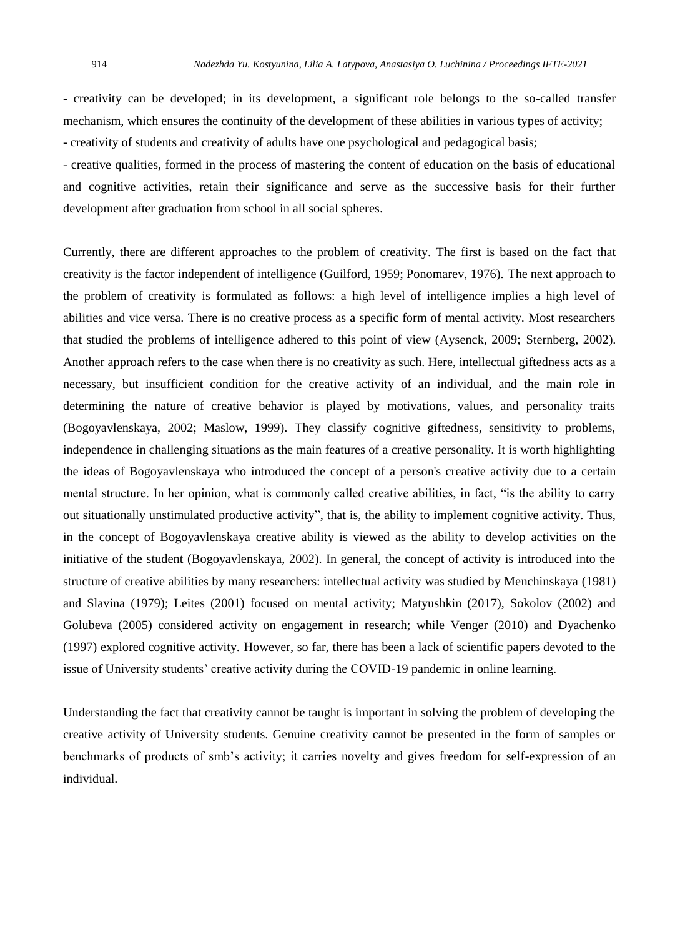- creativity can be developed; in its development, a significant role belongs to the so-called transfer mechanism, which ensures the continuity of the development of these abilities in various types of activity; - creativity of students and creativity of adults have one psychological and pedagogical basis;

- creative qualities, formed in the process of mastering the content of education on the basis of educational and cognitive activities, retain their significance and serve as the successive basis for their further development after graduation from school in all social spheres.

Currently, there are different approaches to the problem of creativity. The first is based on the fact that creativity is the factor independent of intelligence (Guilford, 1959; Ponomarev, 1976). The next approach to the problem of creativity is formulated as follows: a high level of intelligence implies a high level of abilities and vice versa. There is no creative process as a specific form of mental activity. Most researchers that studied the problems of intelligence adhered to this point of view (Aysenck, 2009; Sternberg, 2002). Another approach refers to the case when there is no creativity as such. Here, intellectual giftedness acts as a necessary, but insufficient condition for the creative activity of an individual, and the main role in determining the nature of creative behavior is played by motivations, values, and personality traits (Bogoyavlenskaya, 2002; Maslow, 1999). They classify cognitive giftedness, sensitivity to problems, independence in challenging situations as the main features of a creative personality. It is worth highlighting the ideas of Bogoyavlenskaya who introduced the concept of a person's creative activity due to a certain mental structure. In her opinion, what is commonly called creative abilities, in fact, "is the ability to carry out situationally unstimulated productive activity", that is, the ability to implement cognitive activity. Thus, in the concept of Bogoyavlenskaya creative ability is viewed as the ability to develop activities on the initiative of the student (Bogoyavlenskaya, 2002). In general, the concept of activity is introduced into the structure of creative abilities by many researchers: intellectual activity was studied by Menchinskaya (1981) and Slavina (1979); Leites (2001) focused on mental activity; Matyushkin (2017), Sokolov (2002) and Golubeva (2005) considered activity on engagement in research; while Venger (2010) and Dyachenko (1997) explored cognitive activity. However, so far, there has been a lack of scientific papers devoted to the issue of University students' creative activity during the COVID-19 pandemic in online learning.

Understanding the fact that creativity cannot be taught is important in solving the problem of developing the creative activity of University students. Genuine creativity cannot be presented in the form of samples or benchmarks of products of smb's activity; it carries novelty and gives freedom for self-expression of an individual.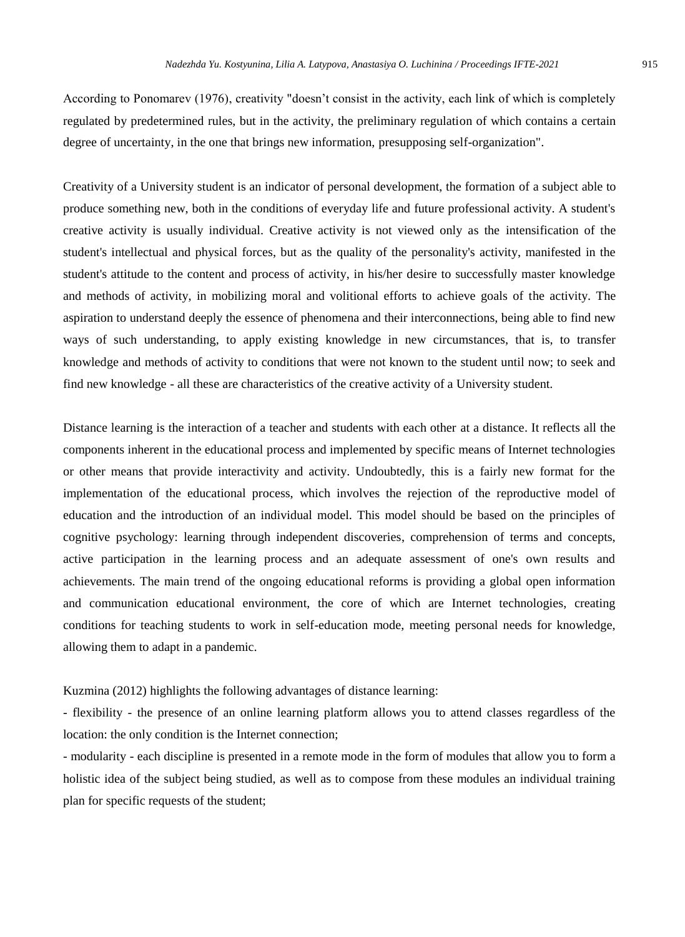Acсording to Ponomarev (1976), creativity "doesn't consist in the activity, each link of which is completely regulated by predetermined rules, but in the activity, the preliminary regulation of which contains a certain degree of uncertainty, in the one that brings new information, presupposing self-organization".

Creativity of a University student is an indicator of personal development, the formation of a subject able to produce something new, both in the conditions of everyday life and future professional activity. A student's creative activity is usually individual. Creative activity is not viewed only as the intensification of the student's intellectual and physical forces, but as the quality of the personality's activity, manifested in the student's attitude to the content and process of activity, in his/her desire to successfully master knowledge and methods of activity, in mobilizing moral and volitional efforts to achieve goals of the activity. The aspiration to understand deeply the essence of phenomena and their interconnections, being able to find new ways of such understanding, to apply existing knowledge in new circumstances, that is, to transfer knowledge and methods of activity to conditions that were not known to the student until now; to seek and find new knowledge - all these are characteristics of the creative activity of a University student.

Distance learning is the interaction of a teacher and students with each other at a distance. It reflects all the components inherent in the educational process and implemented by specific means of Internet technologies or other means that provide interactivity and activity. Undoubtedly, this is a fairly new format for the implementation of the educational process, which involves the rejection of the reproductive model of education and the introduction of an individual model. This model should be based on the principles of cognitive psychology: learning through independent discoveries, comprehension of terms and concepts, active participation in the learning process and an adequate assessment of one's own results and achievements. The main trend of the ongoing educational reforms is providing a global open information and communication educational environment, the core of which are Internet technologies, creating conditions for teaching students to work in self-education mode, meeting personal needs for knowledge, allowing them to adapt in a pandemic.

#### Kuzmina (2012) highlights the following advantages of distance learning:

- flexibility - the presence of an online learning platform allows you to attend classes regardless of the location: the only condition is the Internet connection;

- modularity - each discipline is presented in a remote mode in the form of modules that allow you to form a holistic idea of the subject being studied, as well as to compose from these modules an individual training plan for specific requests of the student;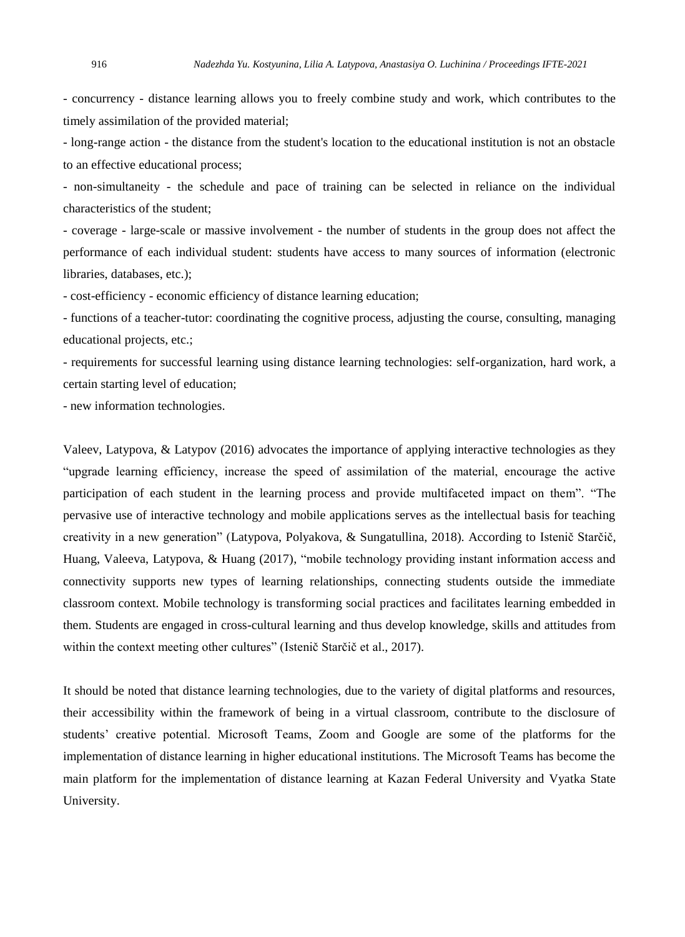- concurrency - distance learning allows you to freely combine study and work, which contributes to the timely assimilation of the provided material;

- long-range action - the distance from the student's location to the educational institution is not an obstacle to an effective educational process;

- non-simultaneity - the schedule and pace of training can be selected in reliance on the individual characteristics of the student;

- coverage - large-scale or massive involvement - the number of students in the group does not affect the performance of each individual student: students have access to many sources of information (electronic libraries, databases, etc.);

- cost-efficiency - economic efficiency of distance learning education;

- functions of a teacher-tutor: coordinating the cognitive process, adjusting the course, consulting, managing educational projects, etc.;

- requirements for successful learning using distance learning technologies: self-organization, hard work, a certain starting level of education;

- new information technologies.

Valeev, Latypova, & Latypov (2016) advocates the importance of applying interactive technologies as they "upgrade learning efficiency, increase the speed of assimilation of the material, encourage the active participation of each student in the learning process and provide multifaceted impact on them". "The pervasive use of interactive technology and mobile applications serves as the intellectual basis for teaching creativity in a new generation" (Latypova, Polyakova, & Sungatullina, 2018). According to Istenič Starčič, Huang, Valeeva, Latypova, & Huang (2017), "mobile technology providing instant information access and connectivity supports new types of learning relationships, connecting students outside the immediate classroom context. Mobile technology is transforming social practices and facilitates learning embedded in them. Students are engaged in cross-cultural learning and thus develop knowledge, skills and attitudes from within the context meeting other cultures" (Istenič Starčič et al., 2017).

It should be noted that distance learning technologies, due to the variety of digital platforms and resources, their accessibility within the framework of being in a virtual classroom, contribute to the disclosure of students' creative potential. Microsoft Teams, Zoom and Google are some of the platforms for the implementation of distance learning in higher educational institutions. The Microsoft Teams has become the main platform for the implementation of distance learning at Kazan Federal University and Vyatka State University.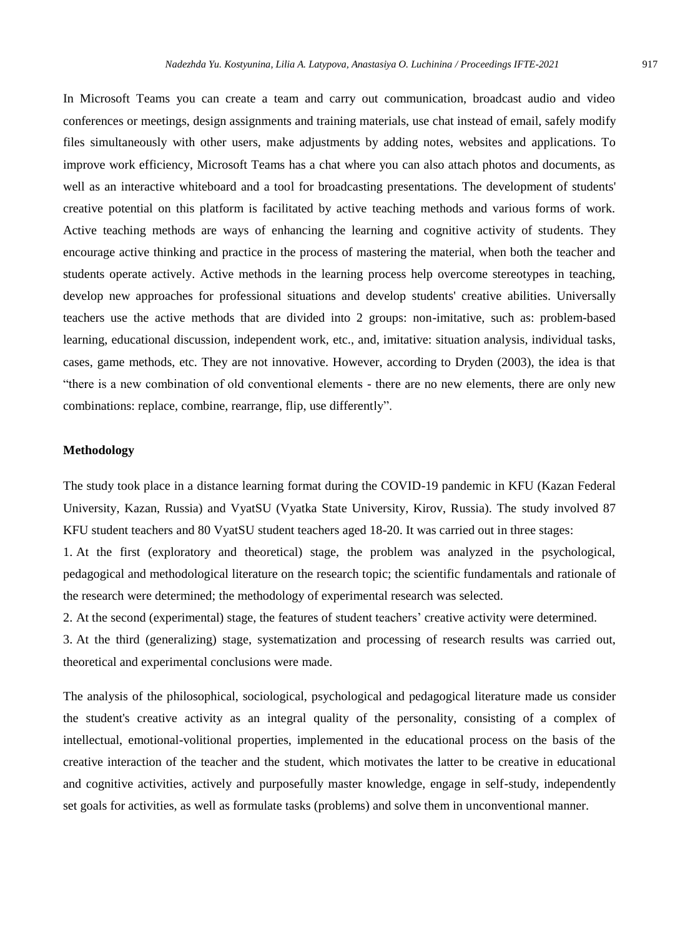In Microsoft Teams you can create a team and carry out communication, broadcast audio and video conferences or meetings, design assignments and training materials, use chat instead of email, safely modify files simultaneously with other users, make adjustments by adding notes, websites and applications. To improve work efficiency, Microsoft Teams has a chat where you can also attach photos and documents, as well as an interactive whiteboard and a tool for broadcasting presentations. The development of students' creative potential on this platform is facilitated by active teaching methods and various forms of work. Active teaching methods are ways of enhancing the learning and cognitive activity of students. They encourage active thinking and practice in the process of mastering the material, when both the teacher and students operate actively. Active methods in the learning process help overcome stereotypes in teaching, develop new approaches for professional situations and develop students' creative abilities. Universally teachers use the active methods that are divided into 2 groups: non-imitative, such as: problem-based learning, educational discussion, independent work, etc., and, imitative: situation analysis, individual tasks, cases, game methods, etc. They are not innovative. However, according to Dryden (2003), the idea is that "there is a new combination of old conventional elements - there are no new elements, there are only new combinations: replace, combine, rearrange, flip, use differently".

#### **Methodology**

The study took place in a distance learning format during the COVID-19 pandemic in KFU (Kazan Federal University, Kazan, Russia) and VyatSU (Vyatka State University, Kirov, Russia). The study involved 87 KFU student teachers and 80 VyatSU student teachers aged 18-20. It was carried out in three stages:

1. At the first (exploratory and theoretical) stage, the problem was analyzed in the psychological, pedagogical and methodological literature on the research topic; the scientific fundamentals and rationale of the research were determined; the methodology of experimental research was selected.

2. At the second (experimental) stage, the features of student teachers' creative activity were determined.

3. At the third (generalizing) stage, systematization and processing of research results was carried out, theoretical and experimental conclusions were made.

The analysis of the philosophical, sociological, psychological and pedagogical literature made us consider the student's creative activity as an integral quality of the personality, consisting of a complex of intellectual, emotional-volitional properties, implemented in the educational process on the basis of the creative interaction of the teacher and the student, which motivates the latter to be creative in educational and cognitive activities, actively and purposefully master knowledge, engage in self-study, independently set goals for activities, as well as formulate tasks (problems) and solve them in unconventional manner.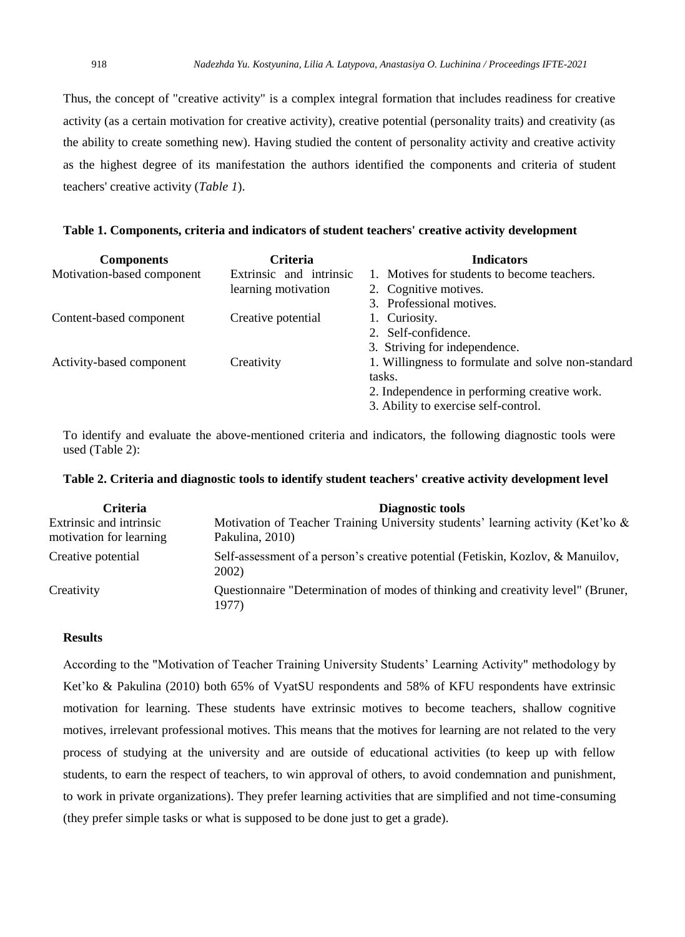Thus, the concept of "creative activity" is a complex integral formation that includes readiness for creative activity (as a certain motivation for creative activity), creative potential (personality traits) and creativity (as the ability to create something new). Having studied the content of personality activity and creative activity as the highest degree of its manifestation the authors identified the components and criteria of student teachers' creative activity (*Table 1*).

#### **Table 1. Components, criteria and indicators of student teachers' creative activity development**

| <b>Criteria</b>         | <b>Indicators</b>                                  |
|-------------------------|----------------------------------------------------|
| Extrinsic and intrinsic | 1. Motives for students to become teachers.        |
| learning motivation     | 2. Cognitive motives.                              |
|                         | 3. Professional motives.                           |
| Creative potential      | 1. Curiosity.                                      |
|                         | 2. Self-confidence.                                |
|                         | 3. Striving for independence.                      |
| Creativity              | 1. Willingness to formulate and solve non-standard |
|                         | tasks.                                             |
|                         | 2. Independence in performing creative work.       |
|                         | 3. Ability to exercise self-control.               |
|                         |                                                    |

To identify and evaluate the above-mentioned criteria and indicators, the following diagnostic tools were used (Table 2):

#### **Table 2. Criteria and diagnostic tools to identify student teachers' creative activity development level**

| <b>Criteria</b>                                    | Diagnostic tools                                                                                   |
|----------------------------------------------------|----------------------------------------------------------------------------------------------------|
| Extrinsic and intrinsic<br>motivation for learning | Motivation of Teacher Training University students' learning activity (Ket'ko &<br>Pakulina, 2010) |
| Creative potential                                 | Self-assessment of a person's creative potential (Fetiskin, Kozlov, & Manuilov,<br>2002)           |
| Creativity                                         | Questionnaire "Determination of modes of thinking and creativity level" (Bruner,<br>1977)          |

#### **Results**

According to the "Motivation of Teacher Training University Students' Learning Activity" methodology by Ket'ko & Pakulina (2010) both 65% of VyatSU respondents and 58% of KFU respondents have extrinsic motivation for learning. These students have extrinsic motives to become teachers, shallow cognitive motives, irrelevant professional motives. This means that the motives for learning are not related to the very process of studying at the university and are outside of educational activities (to keep up with fellow students, to earn the respect of teachers, to win approval of others, to avoid condemnation and punishment, to work in private organizations). They prefer learning activities that are simplified and not time-consuming (they prefer simple tasks or what is supposed to be done just to get a grade).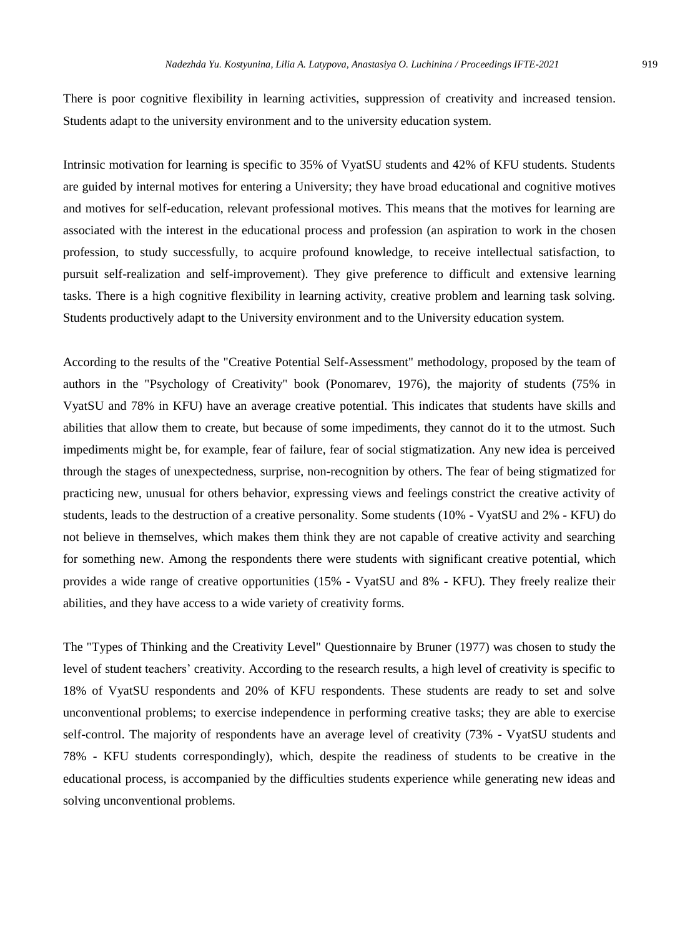There is poor cognitive flexibility in learning activities, suppression of creativity and increased tension. Students adapt to the university environment and to the university education system.

Intrinsic motivation for learning is specific to 35% of VyatSU students and 42% of KFU students. Students are guided by internal motives for entering a University; they have broad educational and cognitive motives and motives for self-education, relevant professional motives. This means that the motives for learning are associated with the interest in the educational process and profession (an aspiration to work in the chosen profession, to study successfully, to acquire profound knowledge, to receive intellectual satisfaction, to pursuit self-realization and self-improvement). They give preference to difficult and extensive learning tasks. There is a high cognitive flexibility in learning activity, creative problem and learning task solving. Students productively adapt to the University environment and to the University education system.

According to the results of the "Creative Potential Self-Assessment" methodology, proposed by the team of authors in the "Psychology of Creativity" book (Ponomarev, 1976), the majority of students (75% in VyatSU and 78% in KFU) have an average creative potential. This indicates that students have skills and abilities that allow them to create, but because of some impediments, they cannot do it to the utmost. Such impediments might be, for example, fear of failure, fear of social stigmatization. Any new idea is perceived through the stages of unexpectedness, surprise, non-recognition by others. The fear of being stigmatized for practicing new, unusual for others behavior, expressing views and feelings constrict the creative activity of students, leads to the destruction of a creative personality. Some students (10% - VyatSU and 2% - KFU) do not believe in themselves, which makes them think they are not capable of creative activity and searching for something new. Among the respondents there were students with significant creative potential, which provides a wide range of creative opportunities (15% - VyatSU and 8% - KFU). They freely realize their abilities, and they have access to a wide variety of creativity forms.

The "Types of Thinking and the Creativity Level" Questionnaire by Bruner (1977) was chosen to study the level of student teachers' creativity. According to the research results, a high level of creativity is specific to 18% of VyatSU respondents and 20% of KFU respondents. These students are ready to set and solve unconventional problems; to exercise independence in performing creative tasks; they are able to exercise self-control. The majority of respondents have an average level of creativity (73% - VyatSU students and 78% - KFU students correspondingly), which, despite the readiness of students to be creative in the educational process, is accompanied by the difficulties students experience while generating new ideas and solving unconventional problems.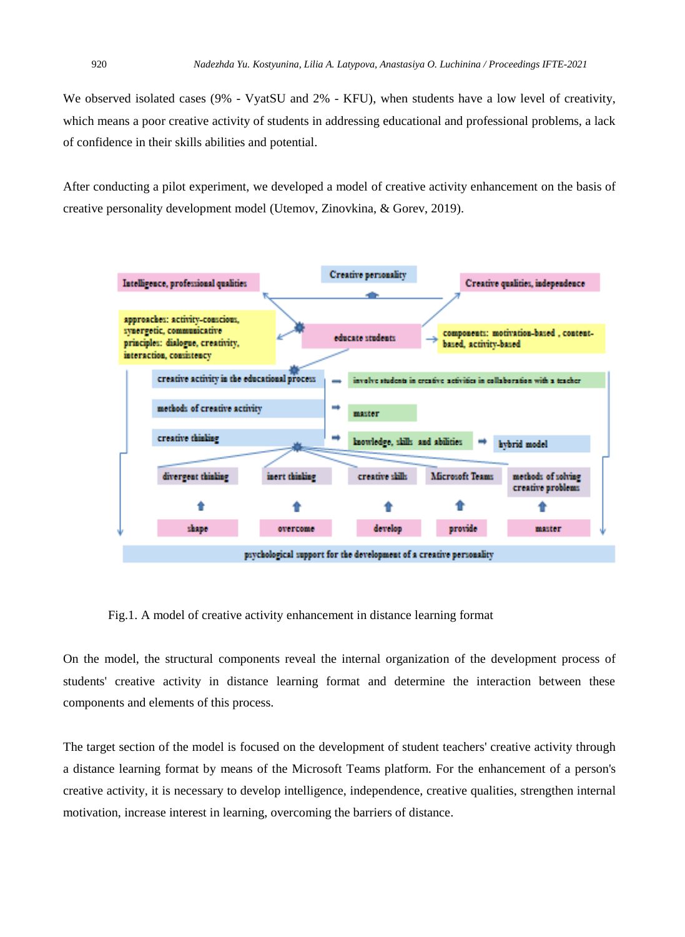We observed isolated cases (9% - VyatSU and 2% - KFU), when students have a low level of creativity, which means a poor creative activity of students in addressing educational and professional problems, a lack of confidence in their skills abilities and potential.

After conducting a pilot experiment, we developed a model of creative activity enhancement on the basis of creative personality development model (Utemov, Zinovkina, & Gorev, 2019).



Fig.1. A model of creative activity enhancement in distance learning format

On the model, the structural components reveal the internal organization of the development process of students' creative activity in distance learning format and determine the interaction between these components and elements of this process.

The target section of the model is focused on the development of student teachers' creative activity through a distance learning format by means of the Microsoft Teams platform. For the enhancement of a person's creative activity, it is necessary to develop intelligence, independence, creative qualities, strengthen internal motivation, increase interest in learning, overcoming the barriers of distance.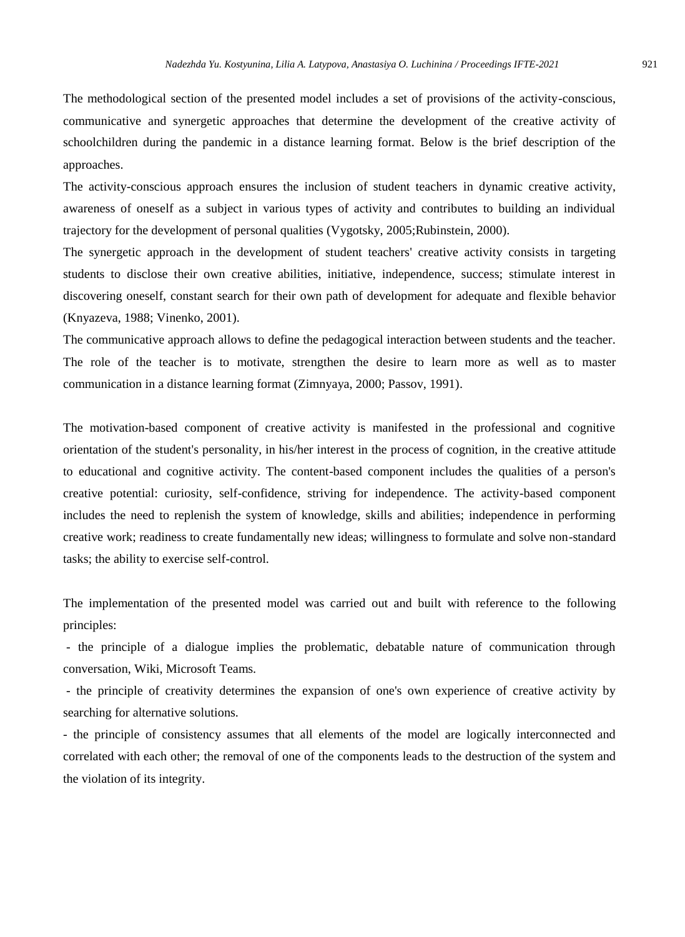The methodological section of the presented model includes a set of provisions of the activity-conscious, communicative and synergetic approaches that determine the development of the creative activity of schoolchildren during the pandemic in a distance learning format. Below is the brief description of the approaches.

The activity-conscious approach ensures the inclusion of student teachers in dynamic creative activity, awareness of oneself as a subject in various types of activity and contributes to building an individual trajectory for the development of personal qualities (Vygotsky, 2005;Rubinstein, 2000).

The synergetic approach in the development of student teachers' creative activity consists in targeting students to disclose their own creative abilities, initiative, independence, success; stimulate interest in discovering oneself, constant search for their own path of development for adequate and flexible behavior (Knyazeva, 1988; Vinenko, 2001).

The communicative approach allows to define the pedagogical interaction between students and the teacher. The role of the teacher is to motivate, strengthen the desire to learn more as well as to master communication in a distance learning format (Zimnyaya, 2000; Passov, 1991).

The motivation-based component of creative activity is manifested in the professional and cognitive orientation of the student's personality, in his/her interest in the process of cognition, in the creative attitude to educational and cognitive activity. The content-based component includes the qualities of a person's creative potential: curiosity, self-confidence, striving for independence. The activity-based component includes the need to replenish the system of knowledge, skills and abilities; independence in performing creative work; readiness to create fundamentally new ideas; willingness to formulate and solve non-standard tasks; the ability to exercise self-control.

The implementation of the presented model was carried out and built with reference to the following principles:

- the principle of a dialogue implies the problematic, debatable nature of communication through conversation, Wiki, Microsoft Teams.

- the principle of creativity determines the expansion of one's own experience of creative activity by searching for alternative solutions.

- the principle of consistency assumes that all elements of the model are logically interconnected and correlated with each other; the removal of one of the components leads to the destruction of the system and the violation of its integrity.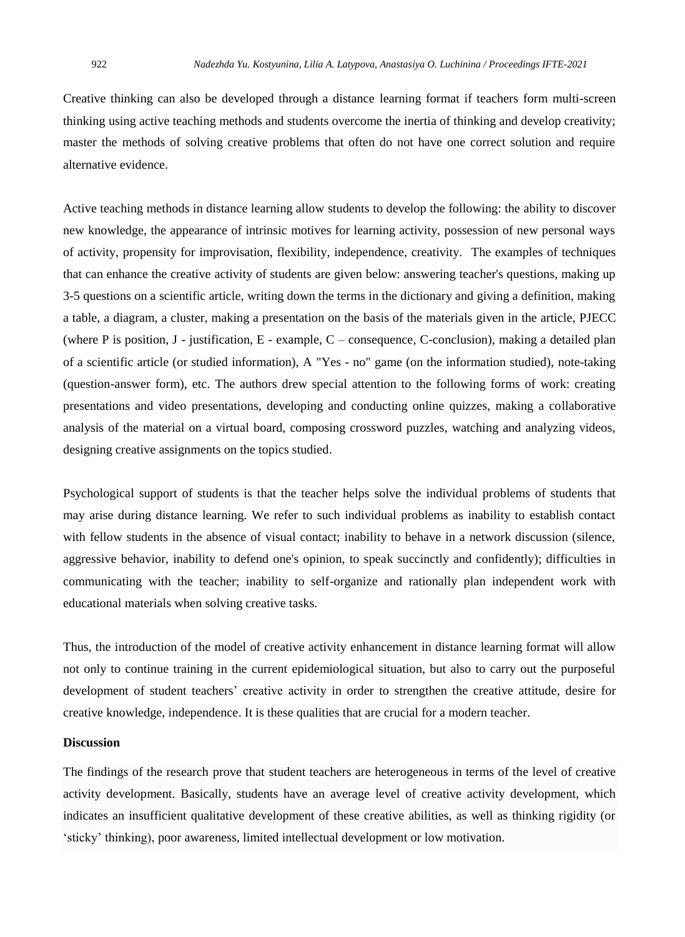Creative thinking can also be developed through a distance learning format if teachers form multi-screen thinking using active teaching methods and students overcome the inertia of thinking and develop creativity; master the methods of solving creative problems that often do not have one correct solution and require alternative evidence.

Active teaching methods in distance learning allow students to develop the following: the ability to discover new knowledge, the appearance of intrinsic motives for learning activity, possession of new personal ways of activity, propensity for improvisation, flexibility, independence, creativity. The examples of techniques that can enhance the creative activity of students are given below: answering teacher's questions, making up 3-5 questions on a scientific article, writing down the terms in the dictionary and giving a definition, making a table, a diagram, a cluster, making a presentation on the basis of the materials given in the article, PJECC (where P is position, J - justification, E - example,  $C$  – consequence, C-conclusion), making a detailed plan of a scientific article (or studied information), A "Yes - no" game (on the information studied), note-taking (question-answer form), etc. The authors drew special attention to the following forms of work: creating presentations and video presentations, developing and conducting online quizzes, making a collaborative analysis of the material on a virtual board, composing crossword puzzles, watching and analyzing videos, designing creative assignments on the topics studied.

Psychological support of students is that the teacher helps solve the individual problems of students that may arise during distance learning. We refer to such individual problems as inability to establish contact with fellow students in the absence of visual contact; inability to behave in a network discussion (silence, aggressive behavior, inability to defend one's opinion, to speak succinctly and confidently); difficulties in communicating with the teacher; inability to self-organize and rationally plan independent work with educational materials when solving creative tasks.

Thus, the introduction of the model of creative activity enhancement in distance learning format will allow not only to continue training in the current epidemiological situation, but also to carry out the purposeful development of student teachers' creative activity in order to strengthen the creative attitude, desire for creative knowledge, independence. It is these qualities that are crucial for a modern teacher.

#### **Discussion**

The findings of the research prove that student teachers are heterogeneous in terms of the level of creative activity development. Basically, students have an average level of creative activity development, which indicates an insufficient qualitative development of these creative abilities, as well as thinking rigidity (or 'sticky' thinking), poor awareness, limited intellectual development or low motivation.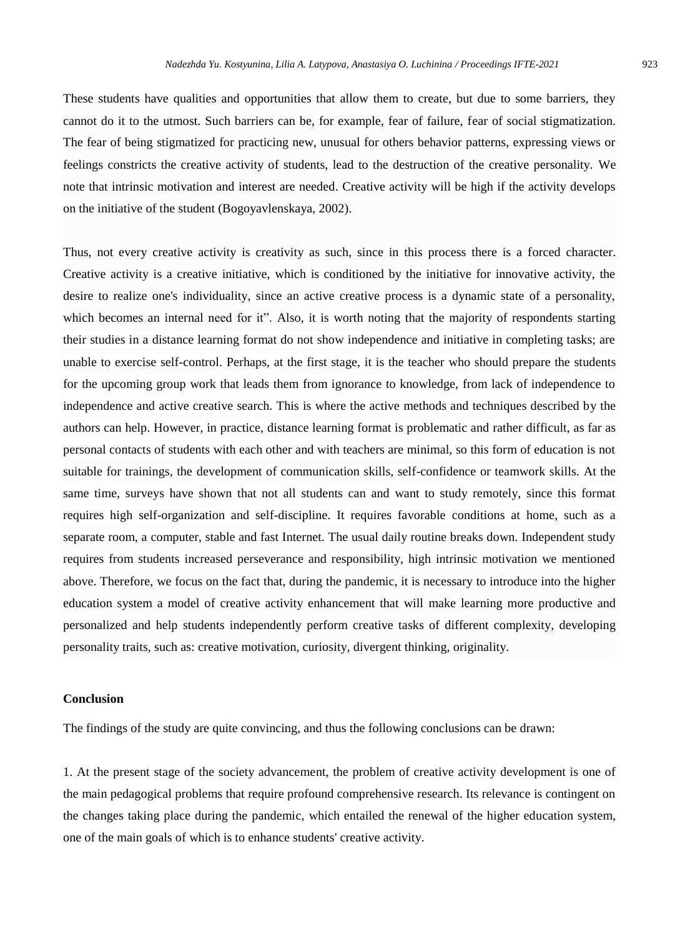These students have qualities and opportunities that allow them to create, but due to some barriers, they cannot do it to the utmost. Such barriers can be, for example, fear of failure, fear of social stigmatization. The fear of being stigmatized for practicing new, unusual for others behavior patterns, expressing views or feelings constricts the creative activity of students, lead to the destruction of the creative personality. We note that intrinsic motivation and interest are needed. Creative activity will be high if the activity develops on the initiative of the student (Bogoyavlenskaya, 2002).

Thus, not every creative activity is creativity as such, since in this process there is a forced character. Creative activity is a creative initiative, which is conditioned by the initiative for innovative activity, the desire to realize one's individuality, since an active creative process is a dynamic state of a personality, which becomes an internal need for it". Also, it is worth noting that the majority of respondents starting their studies in a distance learning format do not show independence and initiative in completing tasks; are unable to exercise self-control. Perhaps, at the first stage, it is the teacher who should prepare the students for the upcoming group work that leads them from ignorance to knowledge, from lack of independence to independence and active creative search. This is where the active methods and techniques described by the authors can help. However, in practice, distance learning format is problematic and rather difficult, as far as personal contacts of students with each other and with teachers are minimal, so this form of education is not suitable for trainings, the development of communication skills, self-confidence or teamwork skills. At the same time, surveys have shown that not all students can and want to study remotely, since this format requires high self-organization and self-discipline. It requires favorable conditions at home, such as a separate room, a computer, stable and fast Internet. The usual daily routine breaks down. Independent study requires from students increased perseverance and responsibility, high intrinsic motivation we mentioned above. Therefore, we focus on the fact that, during the pandemic, it is necessary to introduce into the higher education system a model of creative activity enhancement that will make learning more productive and personalized and help students independently perform creative tasks of different complexity, developing personality traits, such as: creative motivation, curiosity, divergent thinking, originality.

#### **Conclusion**

The findings of the study are quite convincing, and thus the following conclusions can be drawn:

1. At the present stage of the society advancement, the problem of creative activity development is one of the main pedagogical problems that require profound comprehensive research. Its relevance is contingent on the changes taking place during the pandemic, which entailed the renewal of the higher education system, one of the main goals of which is to enhance students' creative activity.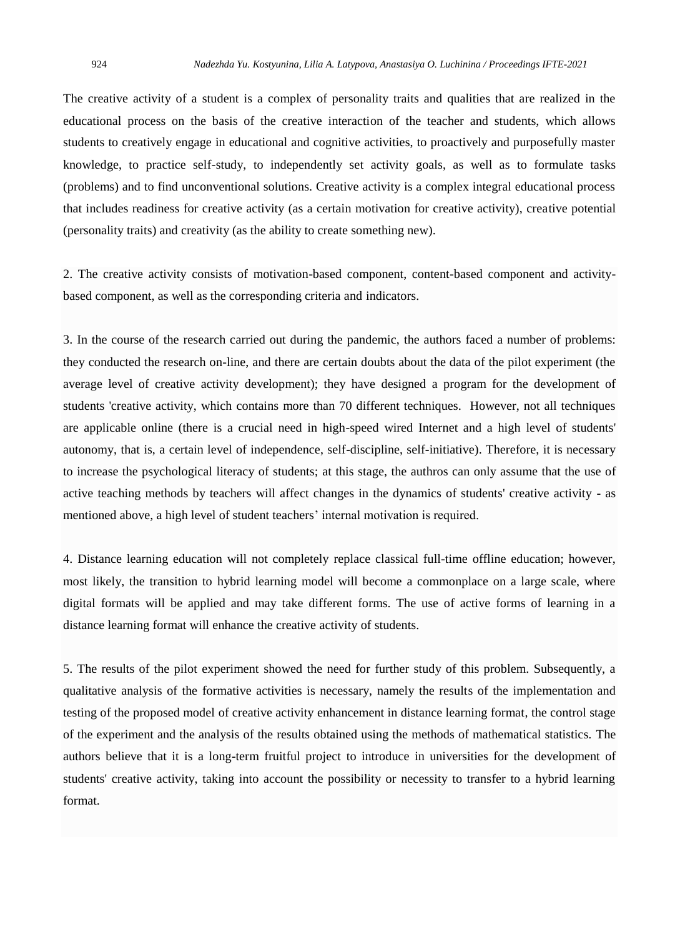The creative activity of a student is a complex of personality traits and qualities that are realized in the educational process on the basis of the creative interaction of the teacher and students, which allows students to creatively engage in educational and cognitive activities, to proactively and purposefully master knowledge, to practice self-study, to independently set activity goals, as well as to formulate tasks (problems) and to find unconventional solutions. Creative activity is a complex integral educational process that includes readiness for creative activity (as a certain motivation for creative activity), creative potential (personality traits) and creativity (as the ability to create something new).

2. The creative activity consists of motivation-based component, content-based component and activitybased component, as well as the corresponding criteria and indicators.

3. In the course of the research carried out during the pandemic, the authors faced a number of problems: they conducted the research on-line, and there are certain doubts about the data of the pilot experiment (the average level of creative activity development); they have designed a program for the development of students 'creative activity, which contains more than 70 different techniques. However, not all techniques are applicable online (there is a crucial need in high-speed wired Internet and a high level of students' autonomy, that is, a certain level of independence, self-discipline, self-initiative). Therefore, it is necessary to increase the psychological literacy of students; at this stage, the authros can only assume that the use of active teaching methods by teachers will affect changes in the dynamics of students' creative activity - as mentioned above, a high level of student teachers' internal motivation is required.

4. Distance learning education will not completely replace classical full-time offline education; however, most likely, the transition to hybrid learning model will become a commonplace on a large scale, where digital formats will be applied and may take different forms. The use of active forms of learning in a distance learning format will enhance the creative activity of students.

5. The results of the pilot experiment showed the need for further study of this problem. Subsequently, a qualitative analysis of the formative activities is necessary, namely the results of the implementation and testing of the proposed model of creative activity enhancement in distance learning format, the control stage of the experiment and the analysis of the results obtained using the methods of mathematical statistics. The authors believe that it is a long-term fruitful project to introduce in universities for the development of students' creative activity, taking into account the possibility or necessity to transfer to a hybrid learning format.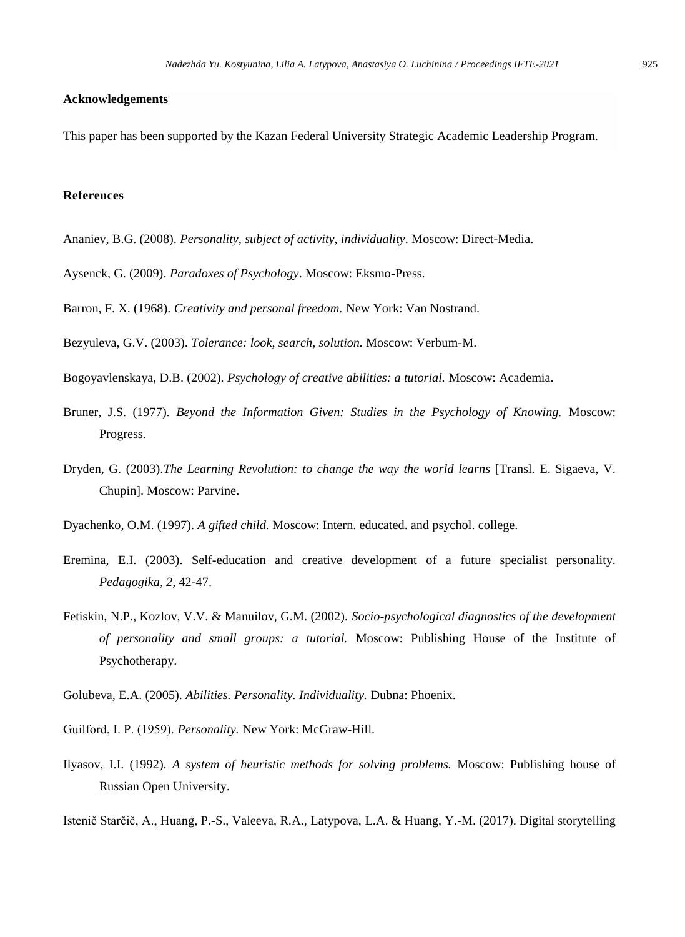#### **Acknowledgements**

This paper has been supported by the Kazan Federal University Strategic Academic Leadership Program.

#### **References**

- Ananiev, B.G. (2008). *Personality, subject of activity, individuality*. Moscow: Direct-Media.
- Aysenck, G. (2009). *Paradoxes of Psychology*. Moscow: Eksmo-Press.

Barron, F. X. (1968). *Creativity and personal freedom.* New York: Van Nostrand.

Bezyuleva, G.V. (2003). *Tolerance: look, search, solution.* Moscow: Verbum-M.

Bogoyavlenskaya, D.B. (2002). *Psychology of creative abilities: a tutorial.* Moscow: Academia.

- Bruner, J.S. (1977). *Beyond the Information Given: Studies in the Psychology of Knowing.* Moscow: Progress.
- Dryden, G. (2003).*The Learning Revolution: to change the way the world learns* [Transl. E. Sigaeva, V. Chupin]. Moscow: Parvine.

Dyachenko, O.M. (1997). *A gifted child.* Moscow: Intern. educated. and psychol. college.

- Eremina, E.I. (2003). Self-education and creative development of a future specialist personality. *Pedagogika, 2,* 42-47.
- Fetiskin, N.P., Kozlov, V.V. & Manuilov, G.M. (2002). *Socio-psychological diagnostics of the development of personality and small groups: a tutorial.* Moscow: Publishing House of the Institute of Psychotherapy.

Golubeva, E.A. (2005). *Abilities. Personality. Individuality.* Dubna: Phoenix.

- Guilfоrd, I. P. (1959). *Personality.* New York: McGraw-Hill.
- Ilyasov, I.I. (1992). *A system of heuristic methods for solving problems.* Moscow: Publishing house of Russian Open University.

Istenič Starčič, A., Huang, P.-S., Valeeva, R.A., Latypova, L.A. & Huang, Y.-M. (2017). Digital storytelling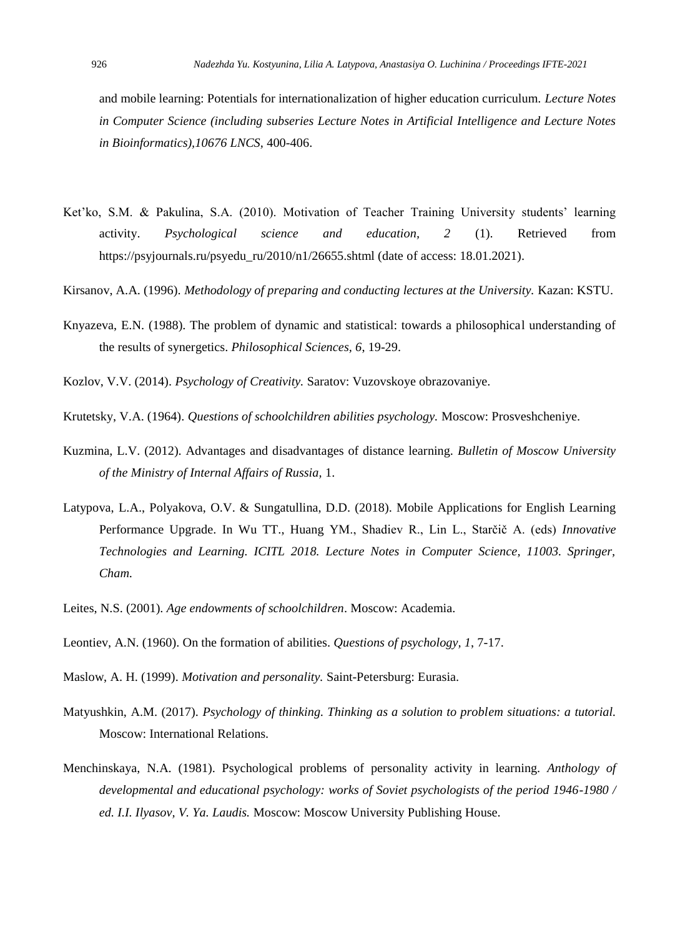and mobile learning: Potentials for internationalization of higher education curriculum. *Lecture Notes in Computer Science (including subseries Lecture Notes in Artificial Intelligence and Lecture Notes in Bioinformatics),10676 LNCS,* 400-406.

- Ket'ko, S.M. & Pakulina, S.A. (2010). Motivation of Teacher Training University students' learning activity. *Psychological science and education, 2* (1). Retrieved from https://psyjournals.ru/psyedu\_ru/2010/n1/26655.shtml (date of access: 18.01.2021).
- Kirsanov, A.A. (1996). *Methodology of preparing and conducting lectures at the University.* Kazan: KSTU.
- Knyazeva, E.N. (1988). The problem of dynamic and statistical: towards a philosophical understanding of the results of synergetics. *Philosophical Sciences, 6*, 19-29.
- Kozlov, V.V. (2014). *Psychology of Creativity.* Saratov: Vuzovskoye obrazovaniye.

Krutetsky, V.A. (1964). *Questions of schoolchildren abilities psychology.* Moscow: Prosveshcheniye.

- Kuzmina, L.V. (2012). Advantages and disadvantages of distance learning. *Bulletin of Moscow University of the Ministry of Internal Affairs of Russia,* 1.
- Latypova, L.A., Polyakova, O.V. & Sungatullina, D.D. (2018). Mobile Applications for English Learning Performance Upgrade. In Wu TT., Huang YM., Shadiev R., Lin L., Starčič A. (eds) *Innovative Technologies and Learning. ICITL 2018. Lecture Notes in Computer Science, 11003. Springer, Cham.*
- Leites, N.S. (2001). *Age endowments of schoolchildren*. Moscow: Academia.
- Leontiev, A.N. (1960). On the formation of abilities. *Questions of psychology, 1*, 7-17.
- Maslow, A. H. (1999). *Motivation and personality.* Saint-Petersburg: Eurasia.
- Matyushkin, A.M. (2017). *Psychology of thinking. Thinking as a solution to problem situations: a tutorial.* Moscow: International Relations.
- Menchinskaya, N.A. (1981). Psychological problems of personality activity in learning. *Anthology of developmental and educational psychology: works of Soviet psychologists of the period 1946-1980 / ed. I.I. Ilyasov, V. Ya. Laudis.* Moscow: Moscow University Publishing House.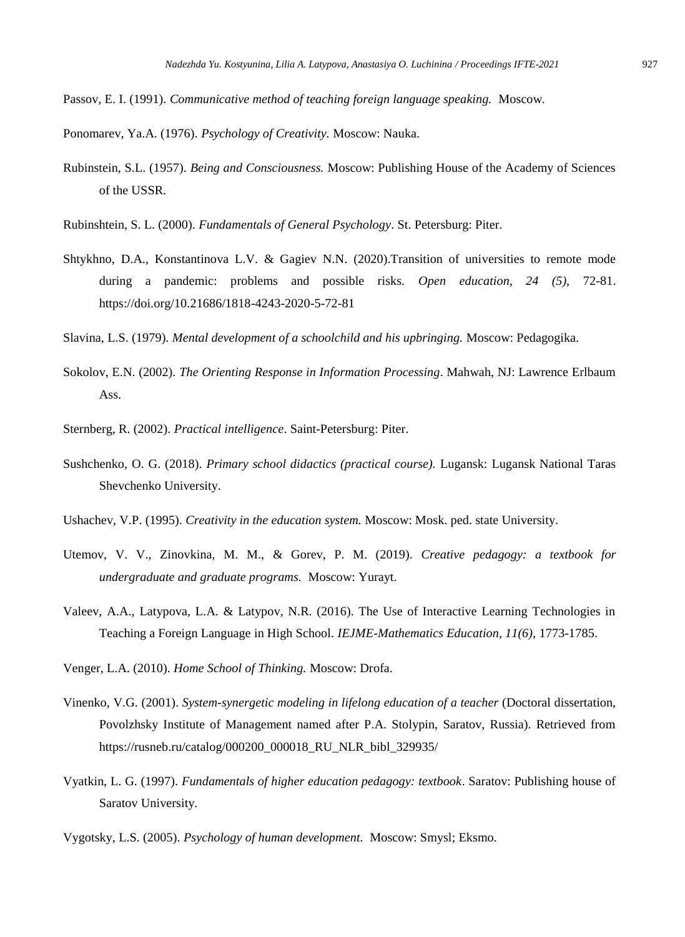Passov, E. I. (1991). *Communicative method of teaching foreign language speaking.* Moscow.

- Ponomarev, Ya.A. (1976). *Psychology of Creativity.* Moscow: Nauka.
- Rubinstein, S.L. (1957). *Being and Consciousness.* Moscow: Publishing House of the Academy of Sciences of the USSR.
- Rubinshtein, S. L. (2000). *Fundamentals of General Psychology*. St. Petersburg: Piter.
- Shtykhno, D.A., Konstantinova L.V. & Gagiev N.N. (2020).Transition of universities to remote mode during a pandemic: problems and possible risks. *Open education, 24 (5),* 72-81. https://doi.org/10.21686/1818-4243-2020-5-72-81

Slavina, L.S. (1979). *Mental development of a schoolchild and his upbringing.* Moscow: Pedagogika.

- Sokolov, E.N. (2002). *The Orienting Response in Information Processing*. Mahwah, NJ: Lawrence Erlbaum Ass.
- Sternberg, R. (2002). *Practical intelligence*. Saint-Petersburg: Piter.
- Sushchenko, O. G. (2018). *Primary school didactics (practical course).* Lugansk: Lugansk National Taras Shevchenko University.
- Ushachev, V.P. (1995). *Creativity in the education system.* Moscow: Mosk. ped. state University.
- Utemov, V. V., Zinovkina, M. M., & Gorev, P. M. (2019). *Creative pedagogy: a textbook for undergraduate and graduate programs.* Moscow: Yurayt.
- Valeev, A.A., Latypova, L.A. & Latypov, N.R. (2016). The Use of Interactive Learning Technologies in Teaching a Foreign Language in High School. *IEJME-Mathematics Education, 11(6),* 1773-1785.
- Venger, L.A. (2010). *Home School of Thinking.* Moscow: Drofa.
- Vinenko, V.G. (2001). *System-synergetic modeling in lifelong education of a teacher* (Doctoral dissertation, Povolzhsky Institute of Management named after P.A. Stolypin, Saratov, Russia). Retrieved from https://rusneb.ru/catalog/000200\_000018\_RU\_NLR\_bibl\_329935/
- Vyatkin, L. G. (1997). *Fundamentals of higher education pedagogy: textbook*. Saratov: Publishing house of Saratov University.
- Vygotsky, L.S. (2005). *Psychology of human development.* Moscow: Smysl; Eksmo.